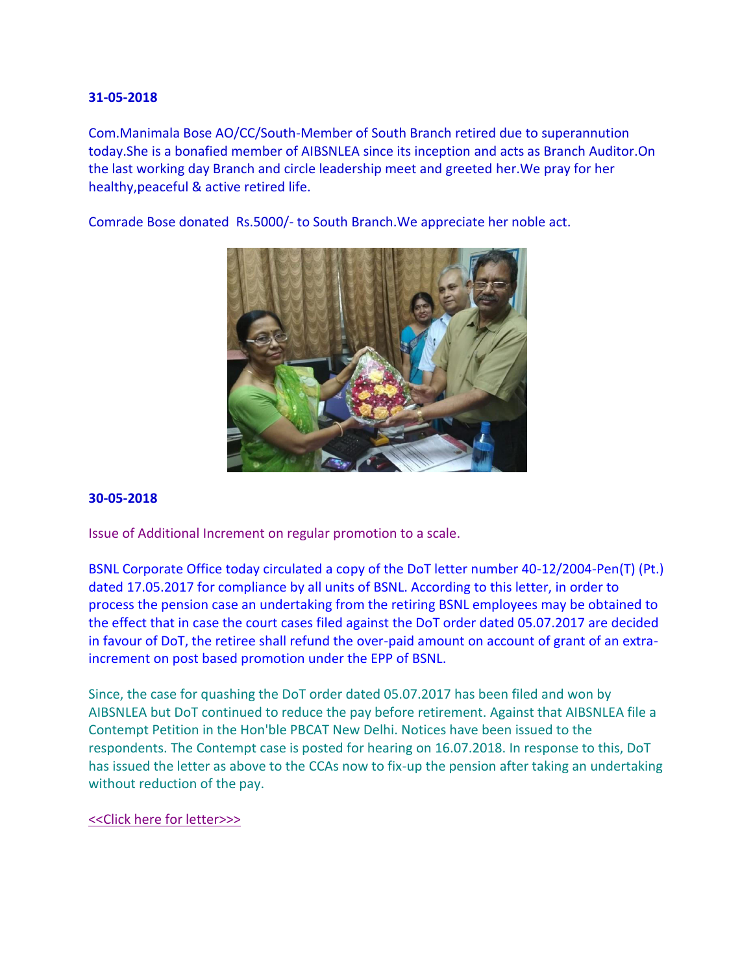Com.Manimala Bose AO/CC/South-Member of South Branch retired due to superannution today.She is a bonafied member of AIBSNLEA since its inception and acts as Branch Auditor.On the last working day Branch and circle leadership meet and greeted her.We pray for her healthy,peaceful & active retired life.

Comrade Bose donated Rs.5000/- to South Branch.We appreciate her noble act.



#### **30-05-2018**

Issue of Additional Increment on regular promotion to a scale.

BSNL Corporate Office today circulated a copy of the DoT letter number 40-12/2004-Pen(T) (Pt.) dated 17.05.2017 for compliance by all units of BSNL. According to this letter, in order to process the pension case an undertaking from the retiring BSNL employees may be obtained to the effect that in case the court cases filed against the DoT order dated 05.07.2017 are decided in favour of DoT, the retiree shall refund the over-paid amount on account of grant of an extraincrement on post based promotion under the EPP of BSNL.

Since, the case for quashing the DoT order dated 05.07.2017 has been filed and won by AIBSNLEA but DoT continued to reduce the pay before retirement. Against that AIBSNLEA file a Contempt Petition in the Hon'ble PBCAT New Delhi. Notices have been issued to the respondents. The Contempt case is posted for hearing on 16.07.2018. In response to this, DoT has issued the letter as above to the CCAs now to fix-up the pension after taking an undertaking without reduction of the pay.

#### [<<Click here for letter>>>](http://www.aibsnleachq.in/Undertaking%20to%20be%20obtained.pdf)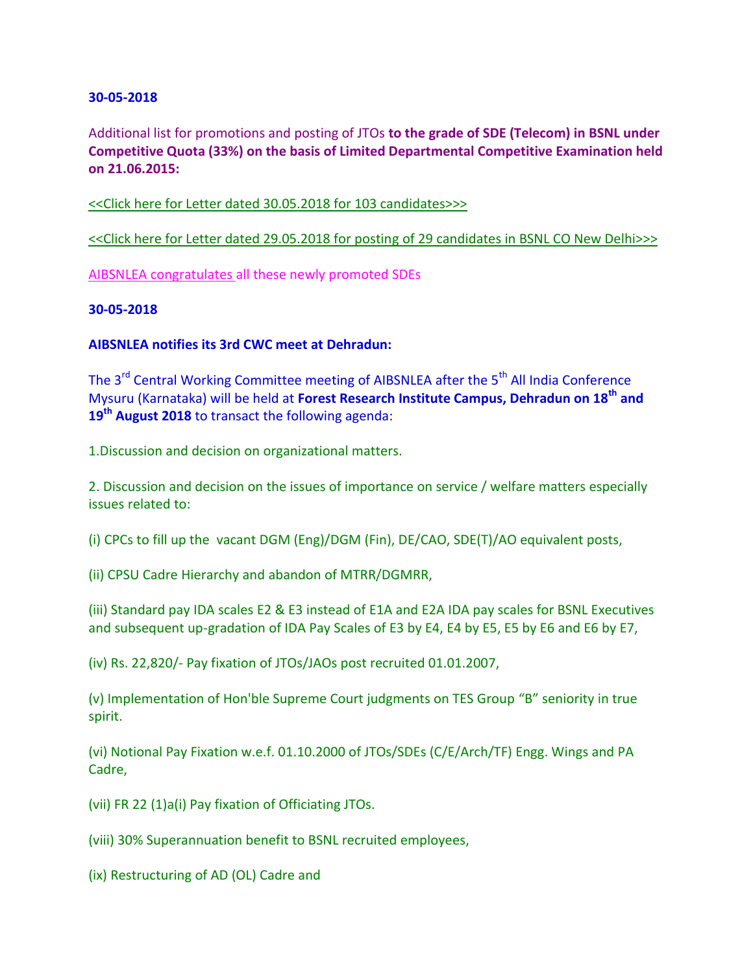Additional list for promotions and posting of JTOs **to the grade of SDE (Telecom) in BSNL under Competitive Quota (33%) on the basis of Limited Departmental Competitive Examination held on 21.06.2015:**

[<<Click here for Letter dated 30.05.2018 for 103 candidates>>>](http://www.aibsnleachq.in/P-II-02_30.05.2018.pdf)

[<<Click here for Letter dated 29.05.2018 for posting of 29 candidates in BSNL CO New Delhi>>>](http://www.aibsnleachq.in/P-II-03_29.05.2018.pdf)

[AIBSNLEA congratulates a](http://www.aibsnleachq.in/PROMOTION%20ORDER.PDF)ll these newly promoted SDEs

#### **30-05-2018**

### **AIBSNLEA notifies its 3rd CWC meet at Dehradun:**

The 3<sup>rd</sup> Central Working Committee meeting of AIBSNLEA after the 5<sup>th</sup> All India Conference Mysuru (Karnataka) will be held at **Forest Research Institute Campus, Dehradun on 18th and 19th August 2018** to transact the following agenda:

1.Discussion and decision on organizational matters.

2. Discussion and decision on the issues of importance on service / welfare matters especially issues related to:

(i) CPCs to fill up the vacant DGM (Eng)/DGM (Fin), DE/CAO, SDE(T)/AO equivalent posts,

(ii) CPSU Cadre Hierarchy and abandon of MTRR/DGMRR,

(iii) Standard pay IDA scales E2 & E3 instead of E1A and E2A IDA pay scales for BSNL Executives and subsequent up-gradation of IDA Pay Scales of E3 by E4, E4 by E5, E5 by E6 and E6 by E7,

(iv) Rs. 22,820/- Pay fixation of JTOs/JAOs post recruited 01.01.2007,

(v) Implementation of Hon'ble Supreme Court judgments on TES Group "B" seniority in true spirit.

(vi) Notional Pay Fixation w.e.f. 01.10.2000 of JTOs/SDEs (C/E/Arch/TF) Engg. Wings and PA Cadre,

(vii) FR 22 (1)a(i) Pay fixation of Officiating JTOs.

(viii) 30% Superannuation benefit to BSNL recruited employees,

(ix) Restructuring of AD (OL) Cadre and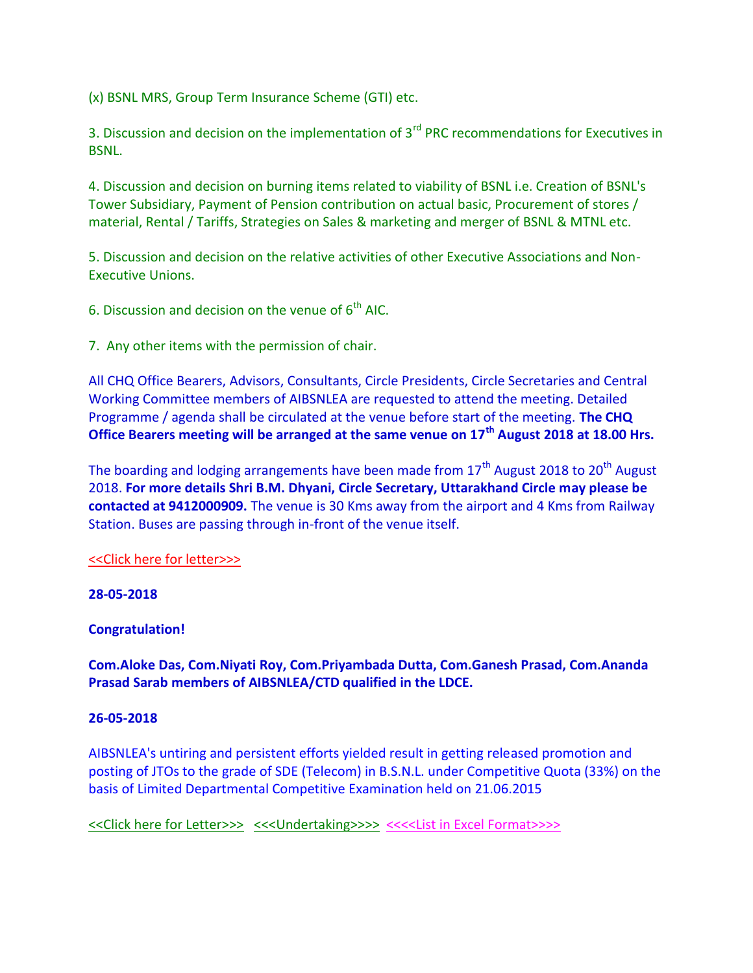(x) BSNL MRS, Group Term Insurance Scheme (GTI) etc.

3. Discussion and decision on the implementation of 3<sup>rd</sup> PRC recommendations for Executives in BSNL.

4. Discussion and decision on burning items related to viability of BSNL i.e. Creation of BSNL's Tower Subsidiary, Payment of Pension contribution on actual basic, Procurement of stores / material, Rental / Tariffs, Strategies on Sales & marketing and merger of BSNL & MTNL etc.

5. Discussion and decision on the relative activities of other Executive Associations and Non-Executive Unions.

6. Discussion and decision on the venue of  $6<sup>th</sup>$  AIC.

7. Any other items with the permission of chair.

All CHQ Office Bearers, Advisors, Consultants, Circle Presidents, Circle Secretaries and Central Working Committee members of AIBSNLEA are requested to attend the meeting. Detailed Programme / agenda shall be circulated at the venue before start of the meeting. **The CHQ Office Bearers meeting will be arranged at the same venue on 17th August 2018 at 18.00 Hrs.**

The boarding and lodging arrangements have been made from  $17<sup>th</sup>$  August 2018 to 20<sup>th</sup> August 2018. **For more details Shri B.M. Dhyani, Circle Secretary, Uttarakhand Circle may please be contacted at 9412000909.** The venue is 30 Kms away from the airport and 4 Kms from Railway Station. Buses are passing through in-front of the venue itself.

## [<<Click here for letter>>>](http://www.aibsnleachq.in/CWC_180530.PDF)

## **28-05-2018**

## **Congratulation!**

**Com.Aloke Das, Com.Niyati Roy, Com.Priyambada Dutta, Com.Ganesh Prasad, Com.Ananda Prasad Sarab members of AIBSNLEA/CTD qualified in the LDCE.** 

#### **26-05-2018**

AIBSNLEA's untiring and persistent efforts yielded result in getting released promotion and posting of JTOs to the grade of SDE (Telecom) in B.S.N.L. under Competitive Quota (33%) on the basis of Limited Departmental Competitive Examination held on 21.06.2015

[<<Click here for Letter>>>](http://www.aibsnleachq.in/PROMOTION%20ORDER.PDF) [<<<Undertaking>>>>](http://www.aibsnleachq.in/UNDER%20TAKING.PDF) [<<<<List in Excel Format>>>>](http://www.aibsnlearaj.org/ATTACHMENTS/PROMOTION/JTO_LDCE_PRO_180525.xlsx)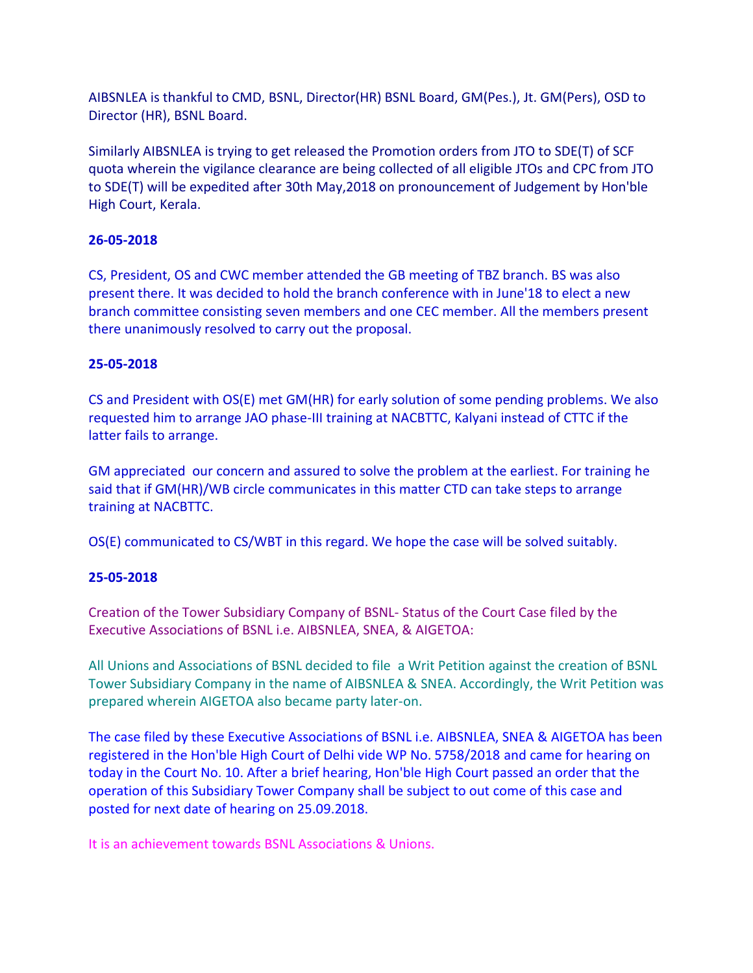AIBSNLEA is thankful to CMD, BSNL, Director(HR) BSNL Board, GM(Pes.), Jt. GM(Pers), OSD to Director (HR), BSNL Board.

Similarly AIBSNLEA is trying to get released the Promotion orders from JTO to SDE(T) of SCF quota wherein the vigilance clearance are being collected of all eligible JTOs and CPC from JTO to SDE(T) will be expedited after 30th May,2018 on pronouncement of Judgement by Hon'ble High Court, Kerala.

## **26-05-2018**

CS, President, OS and CWC member attended the GB meeting of TBZ branch. BS was also present there. It was decided to hold the branch conference with in June'18 to elect a new branch committee consisting seven members and one CEC member. All the members present there unanimously resolved to carry out the proposal.

## **25-05-2018**

CS and President with OS(E) met GM(HR) for early solution of some pending problems. We also requested him to arrange JAO phase-III training at NACBTTC, Kalyani instead of CTTC if the latter fails to arrange.

GM appreciated our concern and assured to solve the problem at the earliest. For training he said that if GM(HR)/WB circle communicates in this matter CTD can take steps to arrange training at NACBTTC.

OS(E) communicated to CS/WBT in this regard. We hope the case will be solved suitably.

## **25-05-2018**

Creation of the Tower Subsidiary Company of BSNL- Status of the Court Case filed by the Executive Associations of BSNL i.e. AIBSNLEA, SNEA, & AIGETOA:

All Unions and Associations of BSNL decided to file a Writ Petition against the creation of BSNL Tower Subsidiary Company in the name of AIBSNLEA & SNEA. Accordingly, the Writ Petition was prepared wherein AIGETOA also became party later-on.

The case filed by these Executive Associations of BSNL i.e. AIBSNLEA, SNEA & AIGETOA has been registered in the Hon'ble High Court of Delhi vide WP No. 5758/2018 and came for hearing on today in the Court No. 10. After a brief hearing, Hon'ble High Court passed an order that the operation of this Subsidiary Tower Company shall be subject to out come of this case and posted for next date of hearing on 25.09.2018.

It is an achievement towards BSNL Associations & Unions.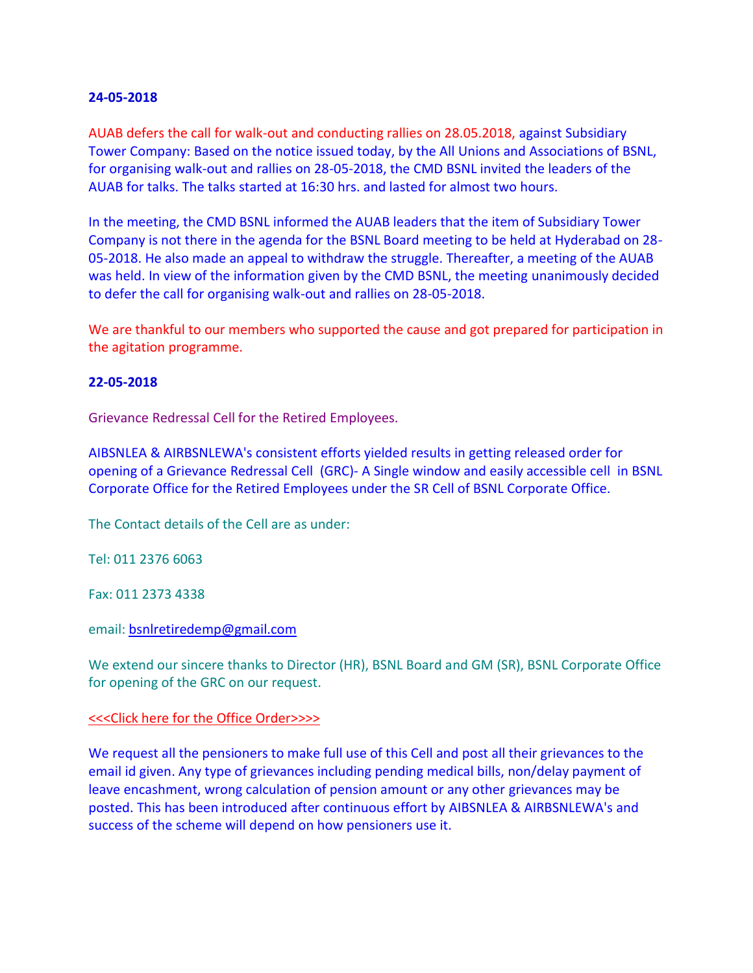AUAB defers the call for walk-out and conducting rallies on 28.05.2018, against Subsidiary Tower Company: Based on the notice issued today, by the All Unions and Associations of BSNL, for organising walk-out and rallies on 28-05-2018, the CMD BSNL invited the leaders of the AUAB for talks. The talks started at 16:30 hrs. and lasted for almost two hours.

In the meeting, the CMD BSNL informed the AUAB leaders that the item of Subsidiary Tower Company is not there in the agenda for the BSNL Board meeting to be held at Hyderabad on 28- 05-2018. He also made an appeal to withdraw the struggle. Thereafter, a meeting of the AUAB was held. In view of the information given by the CMD BSNL, the meeting unanimously decided to defer the call for organising walk-out and rallies on 28-05-2018.

We are thankful to our members who supported the cause and got prepared for participation in the agitation programme.

### **22-05-2018**

Grievance Redressal Cell for the Retired Employees.

AIBSNLEA & AIRBSNLEWA's consistent efforts yielded results in getting released order for opening of a Grievance Redressal Cell (GRC)- A Single window and easily accessible cell in BSNL Corporate Office for the Retired Employees under the SR Cell of BSNL Corporate Office.

The Contact details of the Cell are as under:

Tel: 011 2376 6063

Fax: 011 2373 4338

email[: bsnlretiredemp@gmail.com](mailto:bsnlretiredemp@gmail.com)

We extend our sincere thanks to Director (HR), BSNL Board and GM (SR), BSNL Corporate Office for opening of the GRC on our request.

#### [<<<Click here for the Office Order>>>>](http://www.aibsnleachq.in/Retired%20Redressal%20Forum0001.pdf)

We request all the pensioners to make full use of this Cell and post all their grievances to the email id given. Any type of grievances including pending medical bills, non/delay payment of leave encashment, wrong calculation of pension amount or any other grievances may be posted. This has been introduced after continuous effort by AIBSNLEA & AIRBSNLEWA's and success of the scheme will depend on how pensioners use it.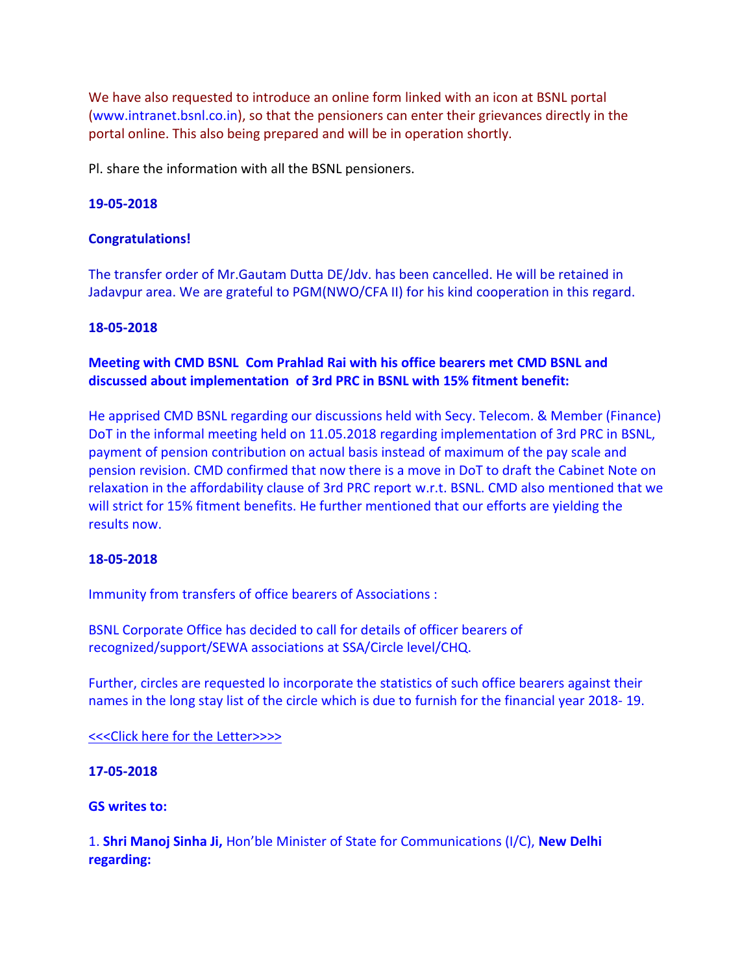We have also requested to introduce an online form linked with an icon at BSNL portal (www.intranet.bsnl.co.in), so that the pensioners can enter their grievances directly in the portal online. This also being prepared and will be in operation shortly.

Pl. share the information with all the BSNL pensioners.

### **19-05-2018**

### **Congratulations!**

The transfer order of Mr.Gautam Dutta DE/Jdv. has been cancelled. He will be retained in Jadavpur area. We are grateful to PGM(NWO/CFA II) for his kind cooperation in this regard.

#### **18-05-2018**

## **Meeting with CMD BSNL Com Prahlad Rai with his office bearers met CMD BSNL and discussed about implementation of 3rd PRC in BSNL with 15% fitment benefit:**

He apprised CMD BSNL regarding our discussions held with Secy. Telecom. & Member (Finance) DoT in the informal meeting held on 11.05.2018 regarding implementation of 3rd PRC in BSNL, payment of pension contribution on actual basis instead of maximum of the pay scale and pension revision. CMD confirmed that now there is a move in DoT to draft the Cabinet Note on relaxation in the affordability clause of 3rd PRC report w.r.t. BSNL. CMD also mentioned that we will strict for 15% fitment benefits. He further mentioned that our efforts are yielding the results now.

#### **18-05-2018**

Immunity from transfers of office bearers of Associations :

BSNL Corporate Office has decided to call for details of officer bearers of recognized/support/SEWA associations at SSA/Circle level/CHQ.

Further, circles are requested lo incorporate the statistics of such office bearers against their names in the long stay list of the circle which is due to furnish for the financial year 2018- 19.

#### [<<<Click here for the Letter>>>>](http://www.aibsnleachq.in/IMMUNITY_18.05.2018.pdf)

### **17-05-2018**

#### **GS writes to:**

1. **Shri Manoj Sinha Ji,** Hon'ble Minister of State for Communications (I/C), **New Delhi regarding:**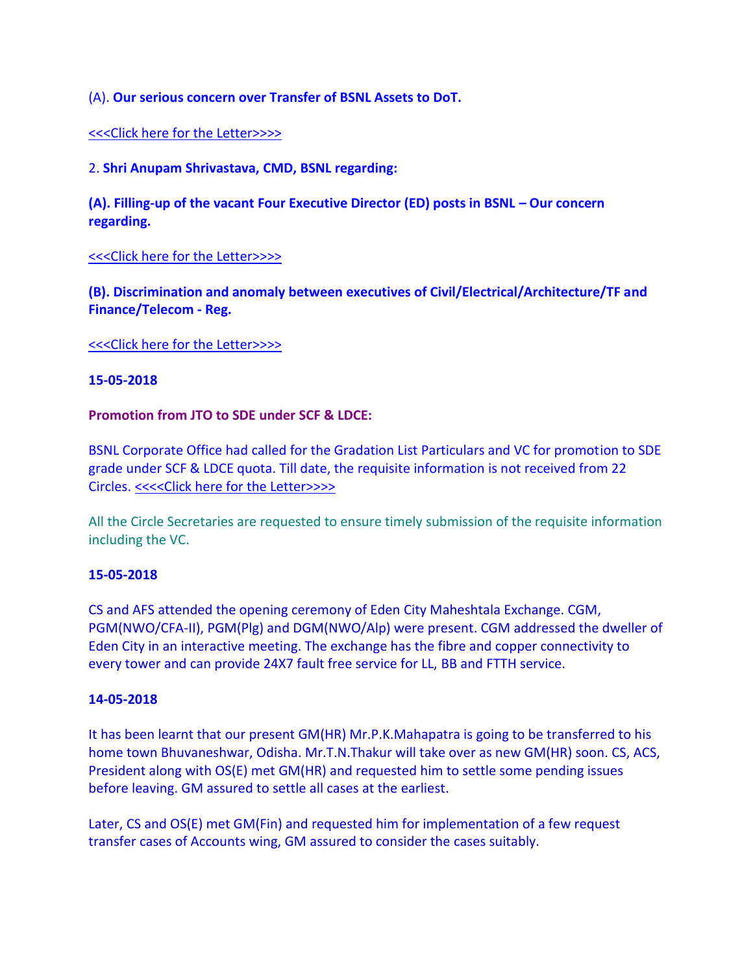## (A). **Our serious concern over Transfer of BSNL Assets to DoT.**

### [<<<Click here for the Letter>>>>](http://www.aibsnleachq.in/MOSC_Asset_180517.pdf)

2. **Shri Anupam Shrivastava, CMD, BSNL regarding:** 

**(A). Filling-up of the vacant Four Executive Director (ED) posts in BSNL – Our concern regarding.**

### [<<<Click here for the Letter>>>>](http://www.aibsnleachq.in/CMD_ED_180517.pdf)

**(B). Discrimination and anomaly between executives of Civil/Electrical/Architecture/TF and Finance/Telecom - Reg.**

[<<<Click here for the Letter>>>>](http://www.aibsnleachq.in/CMD_180516.pdf)

#### **15-05-2018**

### **Promotion from JTO to SDE under SCF & LDCE:**

BSNL Corporate Office had called for the Gradation List Particulars and VC for promotion to SDE grade under SCF & LDCE quota. Till date, the requisite information is not received from 22 Circles. [<<<<Click here for the Letter>>>>](http://www.aibsnleachq.in/P-II-IV_14.05.2018.pdf)

All the Circle Secretaries are requested to ensure timely submission of the requisite information including the VC.

## **15-05-2018**

CS and AFS attended the opening ceremony of Eden City Maheshtala Exchange. CGM, PGM(NWO/CFA-II), PGM(Plg) and DGM(NWO/Alp) were present. CGM addressed the dweller of Eden City in an interactive meeting. The exchange has the fibre and copper connectivity to every tower and can provide 24X7 fault free service for LL, BB and FTTH service.

#### **14-05-2018**

It has been learnt that our present GM(HR) Mr.P.K.Mahapatra is going to be transferred to his home town Bhuvaneshwar, Odisha. Mr.T.N.Thakur will take over as new GM(HR) soon. CS, ACS, President along with OS(E) met GM(HR) and requested him to settle some pending issues before leaving. GM assured to settle all cases at the earliest.

Later, CS and OS(E) met GM(Fin) and requested him for implementation of a few request transfer cases of Accounts wing, GM assured to consider the cases suitably.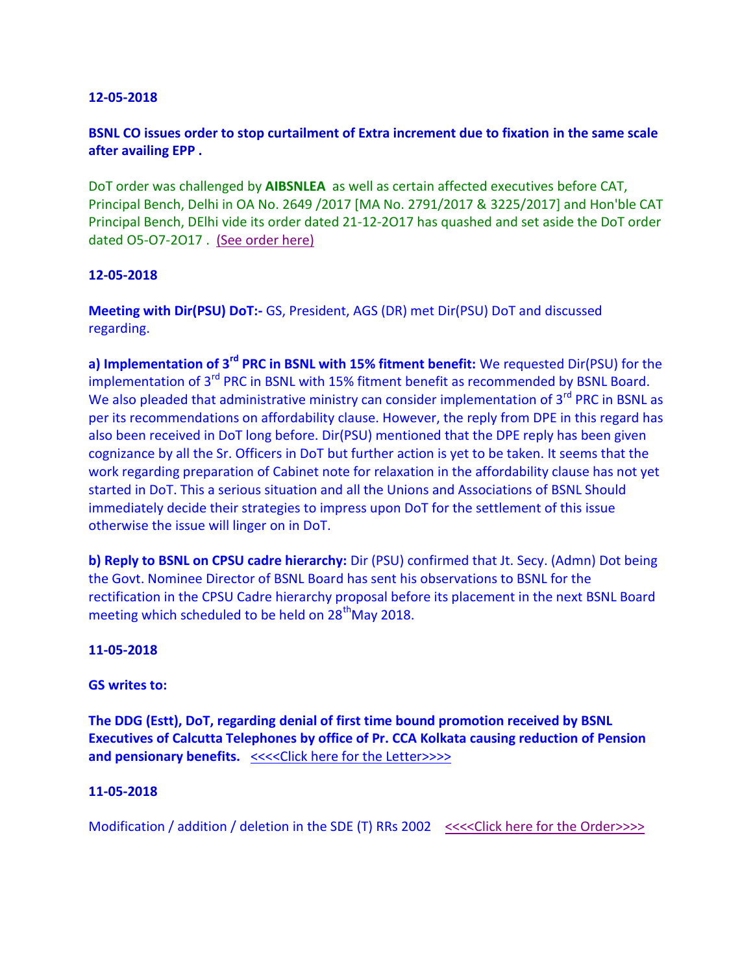# **BSNL CO issues order to stop curtailment of Extra increment due to fixation in the same scale after availing EPP .**

DoT order was challenged by **AIBSNLEA** as well as certain affected executives before CAT, Principal Bench, Delhi in OA No. 2649 /2017 [MA No. 2791/2017 & 3225/2017] and Hon'ble CAT Principal Bench, DElhi vide its order dated 21-12-2O17 has quashed and set aside the DoT order dated O5-O7-2O17 . (See order here)

### **12-05-2018**

**Meeting with Dir(PSU) DoT:-** GS, President, AGS (DR) met Dir(PSU) DoT and discussed regarding.

**a) Implementation of 3rd PRC in BSNL with 15% fitment benefit:** We requested Dir(PSU) for the implementation of 3<sup>rd</sup> PRC in BSNL with 15% fitment benefit as recommended by BSNL Board. We also pleaded that administrative ministry can consider implementation of 3<sup>rd</sup> PRC in BSNL as per its recommendations on affordability clause. However, the reply from DPE in this regard has also been received in DoT long before. Dir(PSU) mentioned that the DPE reply has been given cognizance by all the Sr. Officers in DoT but further action is yet to be taken. It seems that the work regarding preparation of Cabinet note for relaxation in the affordability clause has not yet started in DoT. This a serious situation and all the Unions and Associations of BSNL Should immediately decide their strategies to impress upon DoT for the settlement of this issue otherwise the issue will linger on in DoT.

**b) Reply to BSNL on CPSU cadre hierarchy:** Dir (PSU) confirmed that Jt. Secy. (Admn) Dot being the Govt. Nominee Director of BSNL Board has sent his observations to BSNL for the rectification in the CPSU Cadre hierarchy proposal before its placement in the next BSNL Board meeting which scheduled to be held on  $28<sup>th</sup>$ May 2018.

## **11-05-2018**

#### **GS writes to:**

**The DDG (Estt), DoT, regarding denial of first time bound promotion received by BSNL Executives of Calcutta Telephones by office of Pr. CCA Kolkata causing reduction of Pension and pensionary benefits.** [<<<<Click here for the Letter>>>>](http://www.aibsnleachq.in/DDG_Kolkata_180510_1.pdf) 

#### **11-05-2018**

Modification / addition / deletion in the SDE (T) RRs 2002 <<<<<<<<<<<<<<<<<<<<<<<>

Interpersion of the Order>>>>>>>>>>>>>>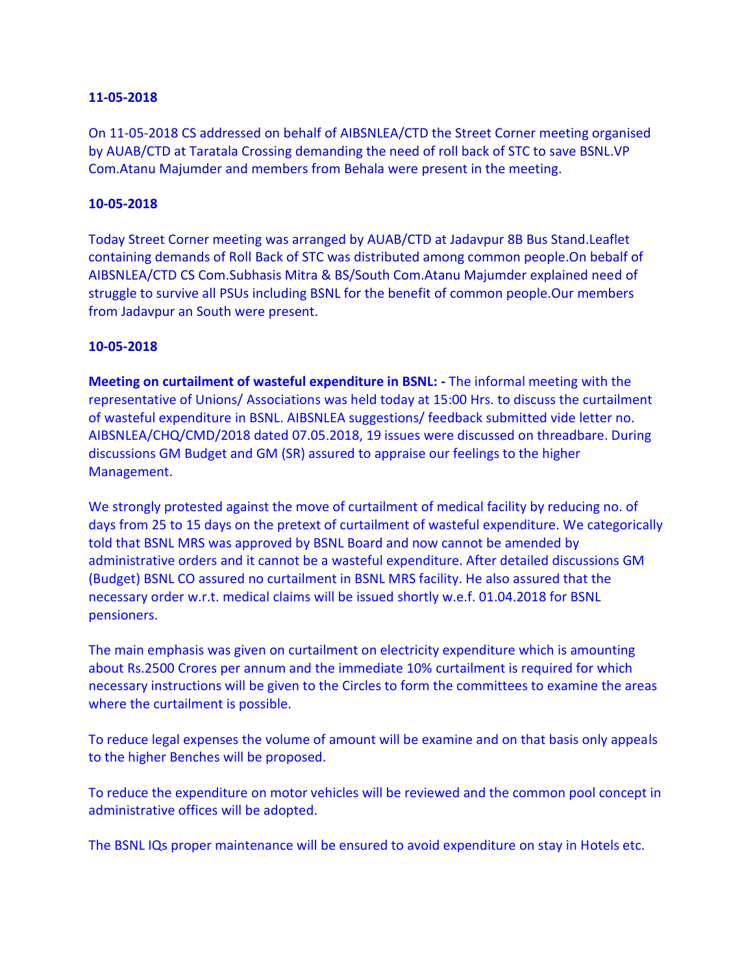On 11-05-2018 CS addressed on behalf of AIBSNLEA/CTD the Street Corner meeting organised by AUAB/CTD at Taratala Crossing demanding the need of roll back of STC to save BSNL.VP Com.Atanu Majumder and members from Behala were present in the meeting.

### **10-05-2018**

Today Street Corner meeting was arranged by AUAB/CTD at Jadavpur 8B Bus Stand.Leaflet containing demands of Roll Back of STC was distributed among common people.On bebalf of AIBSNLEA/CTD CS Com.Subhasis Mitra & BS/South Com.Atanu Majumder explained need of struggle to survive all PSUs including BSNL for the benefit of common people.Our members from Jadavpur an South were present.

### **10-05-2018**

**Meeting on curtailment of wasteful expenditure in BSNL: -** The informal meeting with the representative of Unions/ Associations was held today at 15:00 Hrs. to discuss the curtailment of wasteful expenditure in BSNL. AIBSNLEA suggestions/ feedback submitted vide letter no. AIBSNLEA/CHQ/CMD/2018 dated 07.05.2018, 19 issues were discussed on threadbare. During discussions GM Budget and GM (SR) assured to appraise our feelings to the higher Management.

We strongly protested against the move of curtailment of medical facility by reducing no. of days from 25 to 15 days on the pretext of curtailment of wasteful expenditure. We categorically told that BSNL MRS was approved by BSNL Board and now cannot be amended by administrative orders and it cannot be a wasteful expenditure. After detailed discussions GM (Budget) BSNL CO assured no curtailment in BSNL MRS facility. He also assured that the necessary order w.r.t. medical claims will be issued shortly w.e.f. 01.04.2018 for BSNL pensioners.

The main emphasis was given on curtailment on electricity expenditure which is amounting about Rs.2500 Crores per annum and the immediate 10% curtailment is required for which necessary instructions will be given to the Circles to form the committees to examine the areas where the curtailment is possible.

To reduce legal expenses the volume of amount will be examine and on that basis only appeals to the higher Benches will be proposed.

To reduce the expenditure on motor vehicles will be reviewed and the common pool concept in administrative offices will be adopted.

The BSNL IQs proper maintenance will be ensured to avoid expenditure on stay in Hotels etc.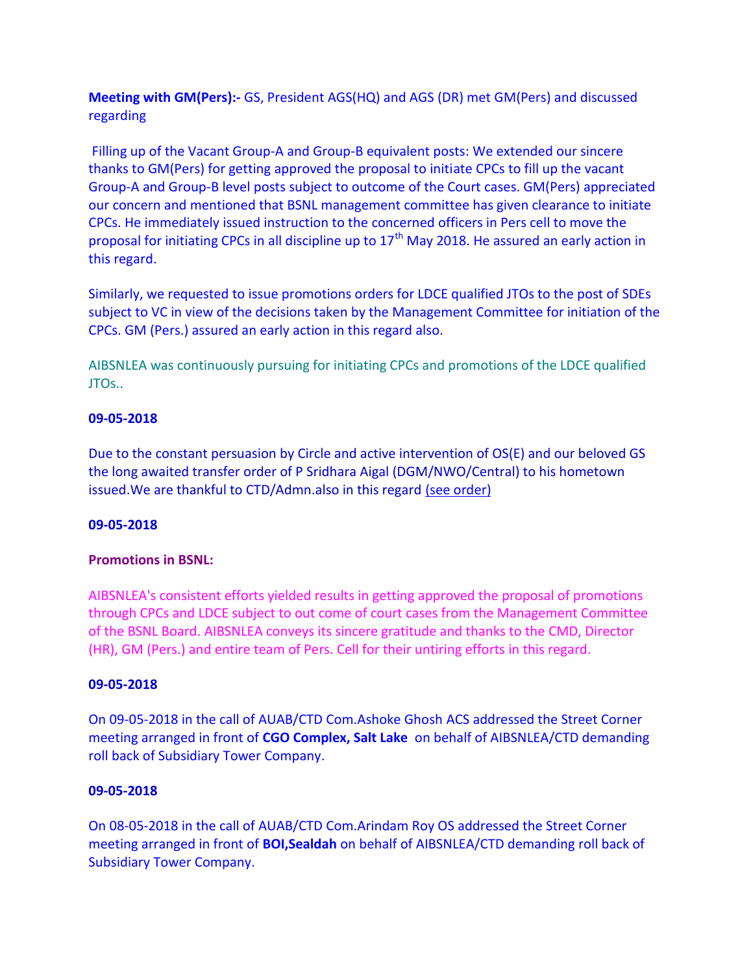**Meeting with GM(Pers):-** GS, President AGS(HQ) and AGS (DR) met GM(Pers) and discussed regarding

 Filling up of the Vacant Group-A and Group-B equivalent posts: We extended our sincere thanks to GM(Pers) for getting approved the proposal to initiate CPCs to fill up the vacant Group-A and Group-B level posts subject to outcome of the Court cases. GM(Pers) appreciated our concern and mentioned that BSNL management committee has given clearance to initiate CPCs. He immediately issued instruction to the concerned officers in Pers cell to move the proposal for initiating CPCs in all discipline up to 17<sup>th</sup> May 2018. He assured an early action in this regard.

Similarly, we requested to issue promotions orders for LDCE qualified JTOs to the post of SDEs subject to VC in view of the decisions taken by the Management Committee for initiation of the CPCs. GM (Pers.) assured an early action in this regard also.

AIBSNLEA was continuously pursuing for initiating CPCs and promotions of the LDCE qualified JTOs..

## **09-05-2018**

Due to the constant persuasion by Circle and active intervention of OS(E) and our beloved GS the long awaited transfer order of P Sridhara Aigal (DGM/NWO/Central) to his hometown issued. We are thankful to CTD/Admn.also in this regard (see order)

## **09-05-2018**

# **Promotions in BSNL:**

AIBSNLEA's consistent efforts yielded results in getting approved the proposal of promotions through CPCs and LDCE subject to out come of court cases from the Management Committee of the BSNL Board. AIBSNLEA conveys its sincere gratitude and thanks to the CMD, Director (HR), GM (Pers.) and entire team of Pers. Cell for their untiring efforts in this regard.

## **09-05-2018**

On 09-05-2018 in the call of AUAB/CTD Com.Ashoke Ghosh ACS addressed the Street Corner meeting arranged in front of **CGO Complex, Salt Lake** on behalf of AIBSNLEA/CTD demanding roll back of Subsidiary Tower Company.

## **09-05-2018**

On 08-05-2018 in the call of AUAB/CTD Com.Arindam Roy OS addressed the Street Corner meeting arranged in front of **BOI,Sealdah** on behalf of AIBSNLEA/CTD demanding roll back of Subsidiary Tower Company.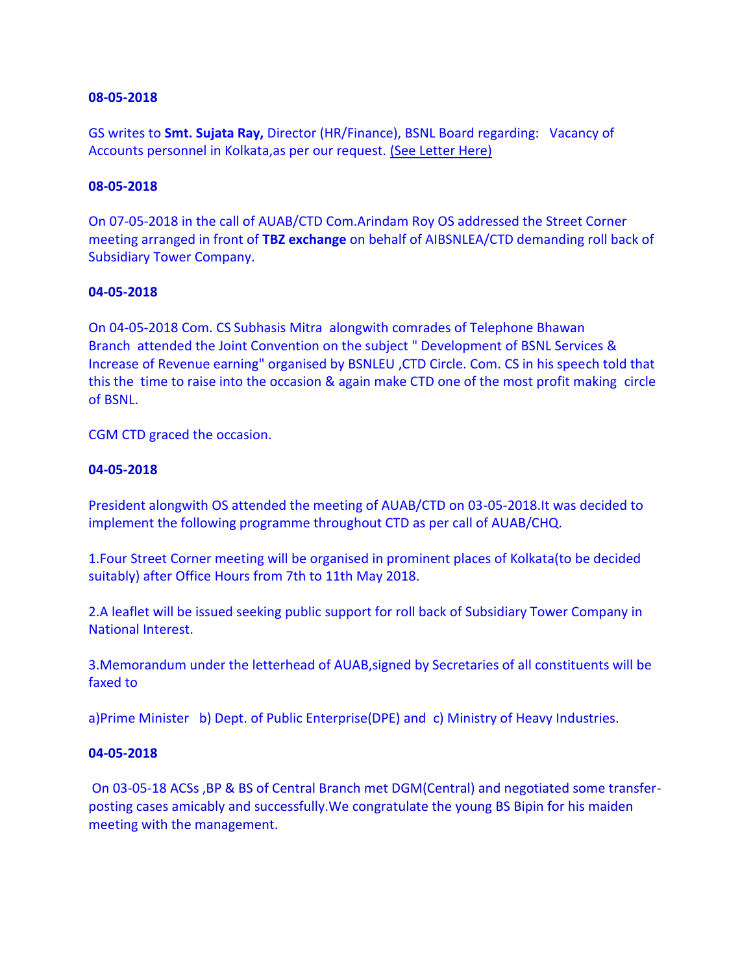GS writes to **Smt. Sujata Ray,** Director (HR/Finance), BSNL Board regarding: Vacancy of Accounts personnel in Kolkata,as per our request. (See Letter Here)

#### **08-05-2018**

On 07-05-2018 in the call of AUAB/CTD Com.Arindam Roy OS addressed the Street Corner meeting arranged in front of **TBZ exchange** on behalf of AIBSNLEA/CTD demanding roll back of Subsidiary Tower Company.

### **04-05-2018**

On 04-05-2018 Com. CS Subhasis Mitra alongwith comrades of Telephone Bhawan Branch attended the Joint Convention on the subject " Development of BSNL Services & Increase of Revenue earning" organised by BSNLEU ,CTD Circle. Com. CS in his speech told that this the time to raise into the occasion & again make CTD one of the most profit making circle of BSNL.

CGM CTD graced the occasion.

### **04-05-2018**

President alongwith OS attended the meeting of AUAB/CTD on 03-05-2018.It was decided to implement the following programme throughout CTD as per call of AUAB/CHQ.

1.Four Street Corner meeting will be organised in prominent places of Kolkata(to be decided suitably) after Office Hours from 7th to 11th May 2018.

2.A leaflet will be issued seeking public support for roll back of Subsidiary Tower Company in National Interest.

3.Memorandum under the letterhead of AUAB,signed by Secretaries of all constituents will be faxed to

a)Prime Minister b) Dept. of Public Enterprise(DPE) and c) Ministry of Heavy Industries.

#### **04-05-2018**

On 03-05-18 ACSs ,BP & BS of Central Branch met DGM(Central) and negotiated some transferposting cases amicably and successfully.We congratulate the young BS Bipin for his maiden meeting with the management.